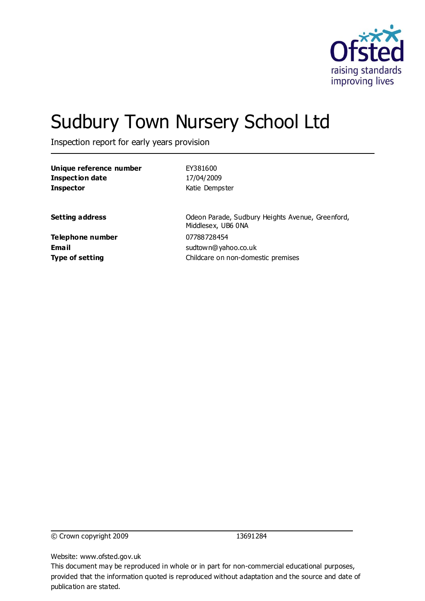

# Sudbury Town Nursery School Ltd

Inspection report for early years provision

| Unique reference number   | EY381600                                                               |
|---------------------------|------------------------------------------------------------------------|
| <b>Inspection date</b>    | 17/04/2009                                                             |
| <b>Inspector</b>          | Katie Dempster                                                         |
| <b>Setting address</b>    | Odeon Parade, Sudbury Heights Avenue, Greenford,<br>Middlesex, UB6 0NA |
| Telephone number<br>Email | 07788728454<br>sudtown@yahoo.co.uk                                     |
| <b>Type of setting</b>    | Childcare on non-domestic premises                                     |

© Crown copyright 2009 13691284

Website: www.ofsted.gov.uk

This document may be reproduced in whole or in part for non-commercial educational purposes, provided that the information quoted is reproduced without adaptation and the source and date of publication are stated.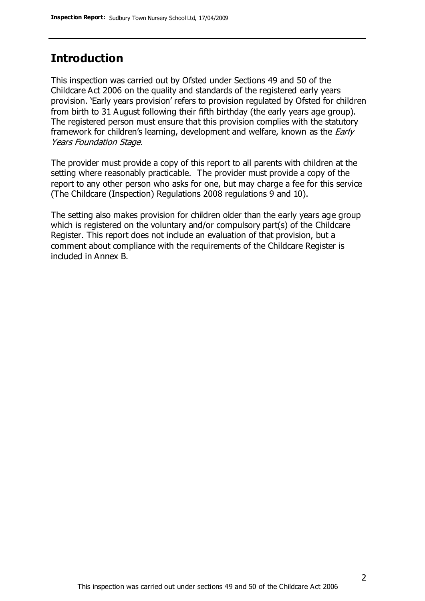### **Introduction**

This inspection was carried out by Ofsted under Sections 49 and 50 of the Childcare Act 2006 on the quality and standards of the registered early years provision. 'Early years provision' refers to provision regulated by Ofsted for children from birth to 31 August following their fifth birthday (the early years age group). The registered person must ensure that this provision complies with the statutory framework for children's learning, development and welfare, known as the *Early* Years Foundation Stage.

The provider must provide a copy of this report to all parents with children at the setting where reasonably practicable. The provider must provide a copy of the report to any other person who asks for one, but may charge a fee for this service (The Childcare (Inspection) Regulations 2008 regulations 9 and 10).

The setting also makes provision for children older than the early years age group which is registered on the voluntary and/or compulsory part(s) of the Childcare Register. This report does not include an evaluation of that provision, but a comment about compliance with the requirements of the Childcare Register is included in Annex B.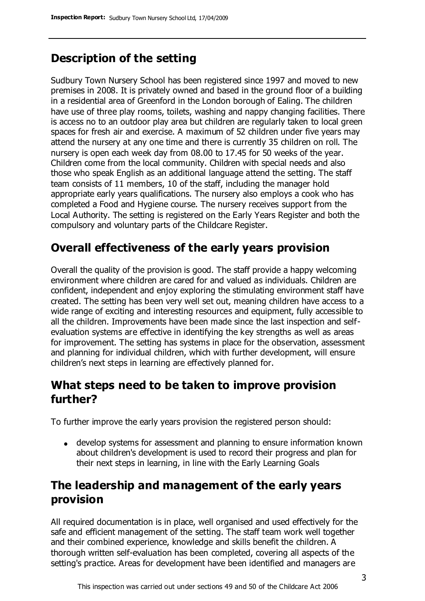# **Description of the setting**

Sudbury Town Nursery School has been registered since 1997 and moved to new premises in 2008. It is privately owned and based in the ground floor of a building in a residential area of Greenford in the London borough of Ealing. The children have use of three play rooms, toilets, washing and nappy changing facilities. There is access no to an outdoor play area but children are regularly taken to local green spaces for fresh air and exercise. A maximum of 52 children under five years may attend the nursery at any one time and there is currently 35 children on roll. The nursery is open each week day from 08.00 to 17.45 for 50 weeks of the year. Children come from the local community. Children with special needs and also those who speak English as an additional language attend the setting. The staff team consists of 11 members, 10 of the staff, including the manager hold appropriate early years qualifications. The nursery also employs a cook who has completed a Food and Hygiene course. The nursery receives support from the Local Authority. The setting is registered on the Early Years Register and both the compulsory and voluntary parts of the Childcare Register.

# **Overall effectiveness of the early years provision**

Overall the quality of the provision is good. The staff provide a happy welcoming environment where children are cared for and valued as individuals. Children are confident, independent and enjoy exploring the stimulating environment staff have created. The setting has been very well set out, meaning children have access to a wide range of exciting and interesting resources and equipment, fully accessible to all the children. Improvements have been made since the last inspection and selfevaluation systems are effective in identifying the key strengths as well as areas for improvement. The setting has systems in place for the observation, assessment and planning for individual children, which with further development, will ensure children's next steps in learning are effectively planned for.

## **What steps need to be taken to improve provision further?**

To further improve the early years provision the registered person should:

develop systems for assessment and planning to ensure information known about children's development is used to record their progress and plan for their next steps in learning, in line with the Early Learning Goals

## **The leadership and management of the early years provision**

All required documentation is in place, well organised and used effectively for the safe and efficient management of the setting. The staff team work well together and their combined experience, knowledge and skills benefit the children. A thorough written self-evaluation has been completed, covering all aspects of the setting's practice. Areas for development have been identified and managers are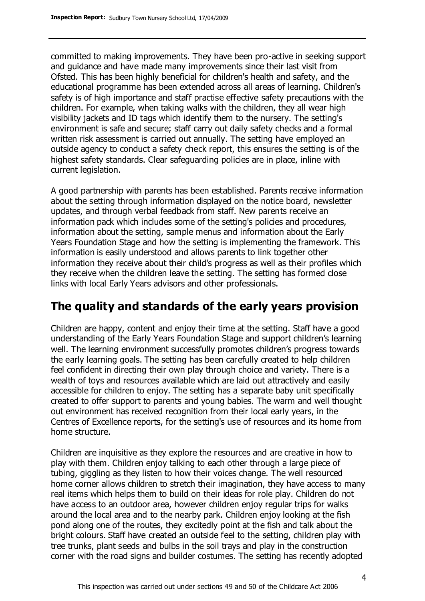committed to making improvements. They have been pro-active in seeking support and guidance and have made many improvements since their last visit from Ofsted. This has been highly beneficial for children's health and safety, and the educational programme has been extended across all areas of learning. Children's safety is of high importance and staff practise effective safety precautions with the children. For example, when taking walks with the children, they all wear high visibility jackets and ID tags which identify them to the nursery. The setting's environment is safe and secure; staff carry out daily safety checks and a formal written risk assessment is carried out annually. The setting have employed an outside agency to conduct a safety check report, this ensures the setting is of the highest safety standards. Clear safeguarding policies are in place, inline with current legislation.

A good partnership with parents has been established. Parents receive information about the setting through information displayed on the notice board, newsletter updates, and through verbal feedback from staff. New parents receive an information pack which includes some of the setting's policies and procedures, information about the setting, sample menus and information about the Early Years Foundation Stage and how the setting is implementing the framework. This information is easily understood and allows parents to link together other information they receive about their child's progress as well as their profiles which they receive when the children leave the setting. The setting has formed close links with local Early Years advisors and other professionals.

## **The quality and standards of the early years provision**

Children are happy, content and enjoy their time at the setting. Staff have a good understanding of the Early Years Foundation Stage and support children's learning well. The learning environment successfully promotes children's progress towards the early learning goals. The setting has been carefully created to help children feel confident in directing their own play through choice and variety. There is a wealth of toys and resources available which are laid out attractively and easily accessible for children to enjoy. The setting has a separate baby unit specifically created to offer support to parents and young babies. The warm and well thought out environment has received recognition from their local early years, in the Centres of Excellence reports, for the setting's use of resources and its home from home structure.

Children are inquisitive as they explore the resources and are creative in how to play with them. Children enjoy talking to each other through a large piece of tubing, giggling as they listen to how their voices change. The well resourced home corner allows children to stretch their imagination, they have access to many real items which helps them to build on their ideas for role play. Children do not have access to an outdoor area, however children enjoy regular trips for walks around the local area and to the nearby park. Children enjoy looking at the fish pond along one of the routes, they excitedly point at the fish and talk about the bright colours. Staff have created an outside feel to the setting, children play with tree trunks, plant seeds and bulbs in the soil trays and play in the construction corner with the road signs and builder costumes. The setting has recently adopted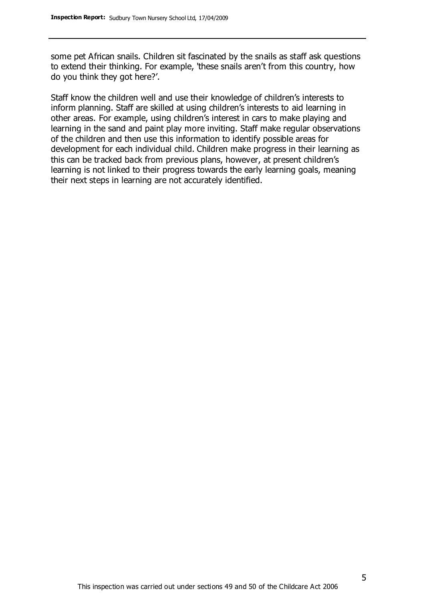some pet African snails. Children sit fascinated by the snails as staff ask questions to extend their thinking. For example, 'these snails aren't from this country, how do you think they got here?'.

Staff know the children well and use their knowledge of children's interests to inform planning. Staff are skilled at using children's interests to aid learning in other areas. For example, using children's interest in cars to make playing and learning in the sand and paint play more inviting. Staff make regular observations of the children and then use this information to identify possible areas for development for each individual child. Children make progress in their learning as this can be tracked back from previous plans, however, at present children's learning is not linked to their progress towards the early learning goals, meaning their next steps in learning are not accurately identified.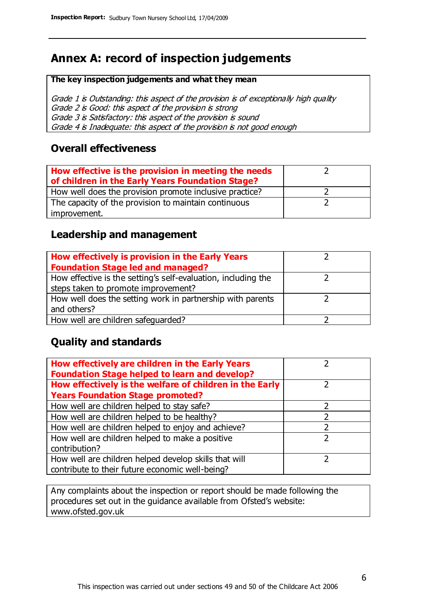# **Annex A: record of inspection judgements**

#### **The key inspection judgements and what they mean**

Grade 1 is Outstanding: this aspect of the provision is of exceptionally high quality Grade 2 is Good: this aspect of the provision is strong Grade 3 is Satisfactory: this aspect of the provision is sound Grade 4 is Inadequate: this aspect of the provision is not good enough

#### **Overall effectiveness**

| How effective is the provision in meeting the needs<br>of children in the Early Years Foundation Stage? |  |
|---------------------------------------------------------------------------------------------------------|--|
| How well does the provision promote inclusive practice?                                                 |  |
| The capacity of the provision to maintain continuous                                                    |  |
| improvement.                                                                                            |  |

#### **Leadership and management**

| How effectively is provision in the Early Years               |  |
|---------------------------------------------------------------|--|
| <b>Foundation Stage led and managed?</b>                      |  |
| How effective is the setting's self-evaluation, including the |  |
| steps taken to promote improvement?                           |  |
| How well does the setting work in partnership with parents    |  |
| and others?                                                   |  |
| How well are children safequarded?                            |  |

#### **Quality and standards**

| How effectively are children in the Early Years<br><b>Foundation Stage helped to learn and develop?</b> |   |
|---------------------------------------------------------------------------------------------------------|---|
| How effectively is the welfare of children in the Early                                                 | ר |
| <b>Years Foundation Stage promoted?</b>                                                                 |   |
| How well are children helped to stay safe?                                                              |   |
| How well are children helped to be healthy?                                                             |   |
| How well are children helped to enjoy and achieve?                                                      |   |
| How well are children helped to make a positive                                                         | 2 |
| contribution?                                                                                           |   |
| How well are children helped develop skills that will                                                   |   |
| contribute to their future economic well-being?                                                         |   |

Any complaints about the inspection or report should be made following the procedures set out in the guidance available from Ofsted's website: www.ofsted.gov.uk